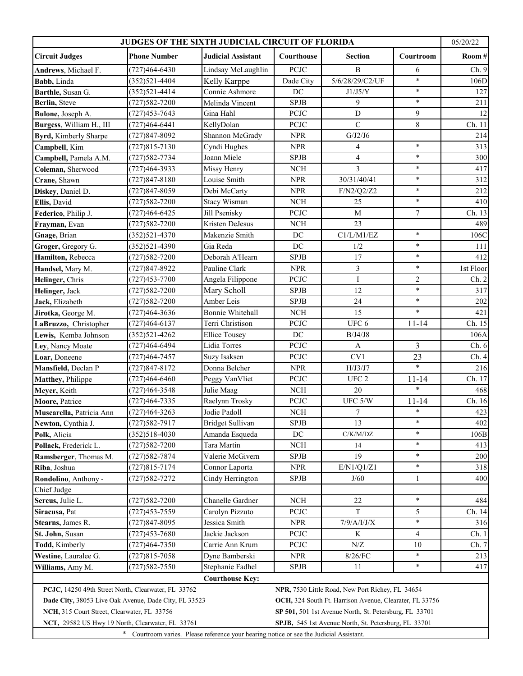| JUDGES OF THE SIXTH JUDICIAL CIRCUIT OF FLORIDA                                                                  |                                                        |                           |                       |                  |                |           |  |  |  |
|------------------------------------------------------------------------------------------------------------------|--------------------------------------------------------|---------------------------|-----------------------|------------------|----------------|-----------|--|--|--|
| <b>Circuit Judges</b>                                                                                            | <b>Phone Number</b>                                    | <b>Judicial Assistant</b> | Courthouse            | <b>Section</b>   | Courtroom      | Room#     |  |  |  |
| Andrews, Michael F.                                                                                              | $(727)464 - 6430$                                      | Lindsay McLaughlin        | PCJC                  | $\, {\bf B}$     | 6              | Ch. 9     |  |  |  |
| Babb, Linda                                                                                                      | $(352)521 - 4404$                                      | Kelly Karppe              | Dade City             | 5/6/28/29/C2/UF  | $\ast$         | 106D      |  |  |  |
| Barthle, Susan G.                                                                                                | $(352)521 - 4414$                                      | Connie Ashmore            | DC                    | J1/J5/Y          | $\ast$         | 127       |  |  |  |
| Berlin, Steve                                                                                                    | $(727)582 - 7200$                                      | Melinda Vincent           | <b>SPJB</b>           | 9                | $\ast$         | 211       |  |  |  |
| Bulone, Joseph A.                                                                                                | (727)453-7643                                          | Gina Hahl                 | PCJC                  | $\mathbf D$      | 9              | 12        |  |  |  |
| Burgess, William H., III                                                                                         | (727)464-6441                                          | KellyDolan                | PCJC                  | $\mathbf C$      | 8              | Ch. 11    |  |  |  |
| Byrd, Kimberly Sharpe                                                                                            | $(727)847 - 8092$                                      | Shannon McGrady           | <b>NPR</b>            | G/J2/J6          |                | 214       |  |  |  |
| Campbell, Kim                                                                                                    | $(727)815 - 7130$                                      | Cyndi Hughes              | <b>NPR</b>            | $\overline{4}$   | $\ast$         | 313       |  |  |  |
| Campbell, Pamela A.M.                                                                                            | (727) 582-7734                                         | Joann Miele               | <b>SPJB</b>           | $\overline{4}$   | $\ast$         | 300       |  |  |  |
| Coleman, Sherwood                                                                                                | (727)464-3933                                          | Missy Henry               | <b>NCH</b>            | 3                | $\ast$         | 417       |  |  |  |
| Crane, Shawn                                                                                                     | $(727)847 - 8180$                                      | Louise Smith              | <b>NPR</b>            | 30/31/40/41      | $\ast$         | 312       |  |  |  |
| Diskey, Daniel D.                                                                                                | (727) 847-8059                                         | Debi McCarty              | <b>NPR</b>            | F/N2/Q2/Z2       | $\ast$         | 212       |  |  |  |
| Ellis, David                                                                                                     | (727) 582-7200                                         | <b>Stacy Wisman</b>       | <b>NCH</b>            | 25               | $\ast$         | 410       |  |  |  |
| Federico, Philip J.                                                                                              | $(727)464 - 6425$                                      | Jill Psenisky             | PCJC                  | $\mathbf M$      | $\overline{7}$ | Ch. 13    |  |  |  |
| Frayman, Evan                                                                                                    | $(727)582 - 7200$                                      | Kristen DeJesus           | $\rm NCH$             | 23               |                | 489       |  |  |  |
| Gnage, Brian                                                                                                     | $(352)521 - 4370$                                      | Makenzie Smith            | DC                    | C1/L/M1/EZ       | $\ast$         | 106C      |  |  |  |
| Groger, Gregory G.                                                                                               | $(352)521 - 4390$                                      | Gia Reda                  | DC                    | 1/2              | $\ast$         | 111       |  |  |  |
| Hamilton, Rebecca                                                                                                | (727) 582-7200                                         | Deborah A'Hearn           | <b>SPJB</b>           | 17               | $\ast$         | 412       |  |  |  |
| Handsel, Mary M.                                                                                                 | (727) 847-8922                                         | Pauline Clark             | <b>NPR</b>            | 3                | $\ast$         | 1st Floor |  |  |  |
| Helinger, Chris                                                                                                  | $(727)453 - 7700$                                      | Angela Filippone          | PCJC                  | $\bf I$          | $\overline{2}$ | Ch. 2     |  |  |  |
| Helinger, Jack                                                                                                   | (727) 582-7200                                         | Mary Scholl               | <b>SPJB</b>           | 12               | $\ast$         | 317       |  |  |  |
| Jack, Elizabeth                                                                                                  | (727) 582-7200                                         | Amber Leis                | <b>SPJB</b>           | 24               | $\ast$         | 202       |  |  |  |
| Jirotka, George M.                                                                                               | $(727)464 - 3636$                                      | <b>Bonnie Whitehall</b>   | $\rm NCH$             | 15               | $\ast$         | 421       |  |  |  |
| LaBruzzo, Christopher                                                                                            | (727)464-6137                                          | Terri Christison          | PCJC                  | UFC <sub>6</sub> | $11 - 14$      | Ch. 15    |  |  |  |
| Lewis, Kemba Johnson                                                                                             | $(352)521 - 4262$                                      | <b>Ellice Tousey</b>      | $\operatorname{DC}$   | B/J4/J8          |                | 106A      |  |  |  |
| Ley, Nancy Moate                                                                                                 | (727)464-6494                                          | Lidia Torres              | PCJC                  | $\mathbf{A}$     | $\overline{3}$ | Ch. 6     |  |  |  |
| Loar, Doneene                                                                                                    | (727) 464-7457                                         | Suzy Isaksen              | PCJC                  | CV1              | 23             | Ch.4      |  |  |  |
| Mansfield, Declan P                                                                                              | $(727)847 - 8172$                                      | Donna Belcher             | <b>NPR</b>            | H/J3/J7          | $\ast$         | 216       |  |  |  |
| Matthey, Philippe                                                                                                | $(727)464 - 6460$                                      | Peggy VanVliet            | PCJC                  | UFC <sub>2</sub> | $11 - 14$      | Ch. 17    |  |  |  |
| Meyer, Keith                                                                                                     | (727) 464-3548                                         | Julie Maag                | <b>NCH</b>            | 20               | $\ast$         | 468       |  |  |  |
| Moore, Patrice                                                                                                   | (727) 464-7335                                         | Raelynn Trosky            | PCJC                  | UFC 5/W          | $11 - 14$      | Ch. 16    |  |  |  |
| Muscarella, Patricia Ann                                                                                         | $(727)464 - 3263$                                      | Jodie Padoll              | $\rm NCH$             | $\boldsymbol{7}$ | $\ast$         | 423       |  |  |  |
| Newton, Cynthia J.                                                                                               | $(727)582 - 7917$                                      | <b>Bridget Sullivan</b>   | ${\rm SPJB}$          | 13               | *              | 402       |  |  |  |
| Polk, Alicia                                                                                                     | $(352)518-4030$                                        | Amanda Esqueda            | DC                    | C/K/M/DZ         | $\ast$         | 106B      |  |  |  |
| Pollack, Frederick L.                                                                                            | $(727)582 - 7200$                                      | Tara Martin               | NCH                   | 14               | *              | 413       |  |  |  |
| Ramsberger, Thomas M.                                                                                            | (727)582-7874                                          | Valerie McGivern          | ${\rm SPJB}$          | 19               | *              | 200       |  |  |  |
| Riba, Joshua                                                                                                     | $(727)815 - 7174$                                      | Connor Laporta            | <b>NPR</b>            | E/N1/Q1/Z1       | $\ast$         | 318       |  |  |  |
| Rondolino, Anthony -                                                                                             | (727)582-7272                                          | Cindy Herrington          | ${\rm SPJB}$          | J/60             | 1              | 400       |  |  |  |
| Chief Judge                                                                                                      |                                                        |                           |                       |                  |                |           |  |  |  |
| Sercus, Julie L.                                                                                                 | $(727)582 - 7200$                                      | Chanelle Gardner          | NCH                   | 22               | $\ast$         | 484       |  |  |  |
| Siracusa, Pat                                                                                                    | (727)453-7559                                          | Carolyn Pizzuto           | $\operatorname{PCJC}$ | T                | 5              | Ch. 14    |  |  |  |
| Stearns, James R.                                                                                                | (727)847-8095                                          | Jessica Smith             | <b>NPR</b>            | $7/9$ /A/I/J/X   | $\ast$         | 316       |  |  |  |
| St. John, Susan                                                                                                  | $(727)453 - 7680$                                      | Jackie Jackson            | <b>PCJC</b>           | K                | 4              | Ch.1      |  |  |  |
| Todd, Kimberly                                                                                                   | $(727)464 - 7350$                                      | Carrie Ann Krum           | $\operatorname{PCJC}$ | N/Z              | 10             | Ch. 7     |  |  |  |
| Westine, Lauralee G.                                                                                             | $(727)815 - 7058$                                      | Dyne Bamberski            | <b>NPR</b>            | $8/26$ $\rm{FC}$ | $\ast$         | 213       |  |  |  |
| Williams, Amy M.                                                                                                 | $(727)582 - 7550$                                      | Stephanie Fadhel          | <b>SPJB</b>           | 11               | $\ast$         | 417       |  |  |  |
|                                                                                                                  |                                                        | <b>Courthouse Key:</b>    |                       |                  |                |           |  |  |  |
| PCJC, 14250 49th Street North, Clearwater, FL 33762<br>NPR, 7530 Little Road, New Port Richey, FL 34654          |                                                        |                           |                       |                  |                |           |  |  |  |
| Dade City, 38053 Live Oak Avenue, Dade City, FL 33523<br>OCH, 324 South Ft. Harrison Avenue, Clearater, FL 33756 |                                                        |                           |                       |                  |                |           |  |  |  |
| NCH, 315 Court Street, Clearwater, FL 33756                                                                      | SP 501, 501 1st Avenue North, St. Petersburg, FL 33701 |                           |                       |                  |                |           |  |  |  |
| NCT, 29582 US Hwy 19 North, Clearwater, FL 33761<br>SPJB, 545 1st Avenue North, St. Petersburg, FL 33701         |                                                        |                           |                       |                  |                |           |  |  |  |
|                                                                                                                  |                                                        |                           |                       |                  |                |           |  |  |  |
| * Courtroom varies. Please reference your hearing notice or see the Judicial Assistant.                          |                                                        |                           |                       |                  |                |           |  |  |  |